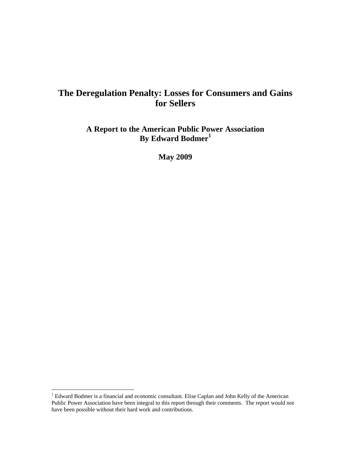# **The Deregulation Penalty: Losses for Consumers and Gains for Sellers**

**A Report to the American Public Power Association By Edward Bodmer<sup>1</sup>**

**May 2009** 

<sup>&</sup>lt;sup>1</sup> Edward Bodmer is a financial and economic consultant. Elise Caplan and John Kelly of the American Public Power Association have been integral to this report through their comments. The report would not have been possible without their hard work and contributions.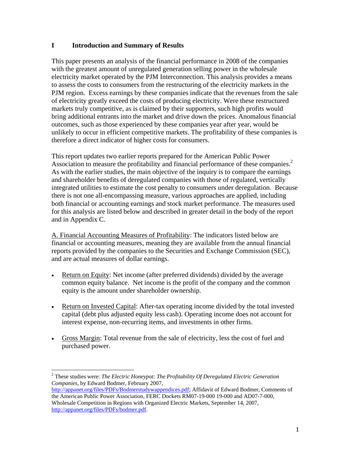### **I Introduction and Summary of Results**

This paper presents an analysis of the financial performance in 2008 of the companies with the greatest amount of unregulated generation selling power in the wholesale electricity market operated by the PJM Interconnection. This analysis provides a means to assess the costs to consumers from the restructuring of the electricity markets in the PJM region. Excess earnings by these companies indicate that the revenues from the sale of electricity greatly exceed the costs of producing electricity. Were these restructured markets truly competitive, as is claimed by their supporters, such high profits would bring additional entrants into the market and drive down the prices. Anomalous financial outcomes, such as those experienced by these companies year after year, would be unlikely to occur in efficient competitive markets. The profitability of these companies is therefore a direct indicator of higher costs for consumers.

This report updates two earlier reports prepared for the American Public Power Association to measure the profitability and financial performance of these companies.<sup>2</sup> As with the earlier studies, the main objective of the inquiry is to compare the earnings and shareholder benefits of deregulated companies with those of regulated, vertically integrated utilities to estimate the cost penalty to consumers under deregulation. Because there is not one all-encompassing measure, various approaches are applied, including both financial or accounting earnings and stock market performance. The measures used for this analysis are listed below and described in greater detail in the body of the report and in Appendix C.

A. Financial Accounting Measures of Profitability: The indicators listed below are financial or accounting measures, meaning they are available from the annual financial reports provided by the companies to the Securities and Exchange Commission (SEC), and are actual measures of dollar earnings.

- Return on Equity: Net income (after preferred dividends) divided by the average common equity balance. Net income is the profit of the company and the common equity is the amount under shareholder ownership.
- Return on Invested Capital: After-tax operating income divided by the total invested capital (debt plus adjusted equity less cash). Operating income does not account for interest expense, non-recurring items, and investments in other firms.
- Gross Margin: Total revenue from the sale of electricity, less the cost of fuel and purchased power.

 $\overline{a}$ 2 These studies were: *The Electric Honeypot: The Profitability Of Deregulated Electric Generation Companies*, by Edward Bodmer, February 2007,

http://appanet.org/files/PDFs/Bodmerstudywappendices.pdf; Affidavit of Edward Bodmer, Comments of the American Public Power Association, FERC Dockets RM07-19-000 19-000 and AD07-7-000, Wholesale Competition in Regions with Organized Electric Markets, September 14, 2007, http://appanet.org/files/PDFs/bodmer.pdf.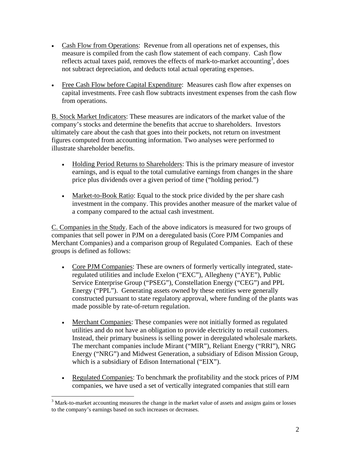- Cash Flow from Operations: Revenue from all operations net of expenses, this measure is compiled from the cash flow statement of each company. Cash flow reflects actual taxes paid, removes the effects of mark-to-market accounting<sup>3</sup>, does not subtract depreciation, and deducts total actual operating expenses.
- Free Cash Flow before Capital Expenditure: Measures cash flow after expenses on capital investments. Free cash flow subtracts investment expenses from the cash flow from operations.

B. Stock Market Indicators: These measures are indicators of the market value of the company's stocks and determine the benefits that accrue to shareholders. Investors ultimately care about the cash that goes into their pockets, not return on investment figures computed from accounting information. Two analyses were performed to illustrate shareholder benefits.

- Holding Period Returns to Shareholders: This is the primary measure of investor earnings, and is equal to the total cumulative earnings from changes in the share price plus dividends over a given period of time ("holding period.")
- Market-to-Book Ratio: Equal to the stock price divided by the per share cash investment in the company. This provides another measure of the market value of a company compared to the actual cash investment.

C. Companies in the Study. Each of the above indicators is measured for two groups of companies that sell power in PJM on a deregulated basis (Core PJM Companies and Merchant Companies) and a comparison group of Regulated Companies. Each of these groups is defined as follows:

- Core PJM Companies: These are owners of formerly vertically integrated, stateregulated utilities and include Exelon ("EXC"), Allegheny ("AYE"), Public Service Enterprise Group ("PSEG"), Constellation Energy ("CEG") and PPL Energy ("PPL"). Generating assets owned by these entities were generally constructed pursuant to state regulatory approval, where funding of the plants was made possible by rate-of-return regulation.
- Merchant Companies: These companies were not initially formed as regulated utilities and do not have an obligation to provide electricity to retail customers. Instead, their primary business is selling power in deregulated wholesale markets. The merchant companies include Mirant ("MIR"), Reliant Energy ("RRI"), NRG Energy ("NRG") and Midwest Generation, a subsidiary of Edison Mission Group, which is a subsidiary of Edison International ("EIX").
- Regulated Companies: To benchmark the profitability and the stock prices of PJM companies, we have used a set of vertically integrated companies that still earn

 $3$  Mark-to-market accounting measures the change in the market value of assets and assigns gains or losses to the company's earnings based on such increases or decreases.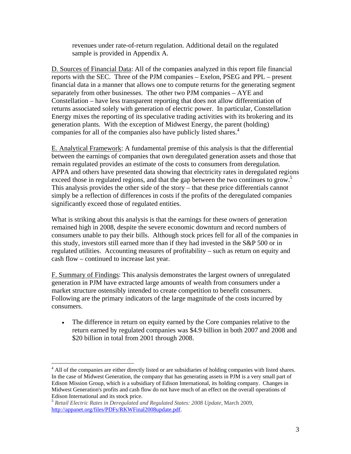revenues under rate-of-return regulation. Additional detail on the regulated sample is provided in Appendix A.

D. Sources of Financial Data: All of the companies analyzed in this report file financial reports with the SEC. Three of the PJM companies – Exelon, PSEG and PPL – present financial data in a manner that allows one to compute returns for the generating segment separately from other businesses. The other two PJM companies – AYE and Constellation – have less transparent reporting that does not allow differentiation of returns associated solely with generation of electric power. In particular, Constellation Energy mixes the reporting of its speculative trading activities with its brokering and its generation plants. With the exception of Midwest Energy, the parent (holding) companies for all of the companies also have publicly listed shares.<sup>4</sup>

E. Analytical Framework: A fundamental premise of this analysis is that the differential between the earnings of companies that own deregulated generation assets and those that remain regulated provides an estimate of the costs to consumers from deregulation. APPA and others have presented data showing that electricity rates in deregulated regions exceed those in regulated regions, and that the gap between the two continues to grow.<sup>5</sup> This analysis provides the other side of the story – that these price differentials cannot simply be a reflection of differences in costs if the profits of the deregulated companies significantly exceed those of regulated entities.

What is striking about this analysis is that the earnings for these owners of generation remained high in 2008, despite the severe economic downturn and record numbers of consumers unable to pay their bills. Although stock prices fell for all of the companies in this study, investors still earned more than if they had invested in the S&P 500 or in regulated utilities. Accounting measures of profitability – such as return on equity and cash flow – continued to increase last year.

F. Summary of Findings: This analysis demonstrates the largest owners of unregulated generation in PJM have extracted large amounts of wealth from consumers under a market structure ostensibly intended to create competition to benefit consumers. Following are the primary indicators of the large magnitude of the costs incurred by consumers.

• The difference in return on equity earned by the Core companies relative to the return earned by regulated companies was \$4.9 billion in both 2007 and 2008 and \$20 billion in total from 2001 through 2008.

<sup>&</sup>lt;sup>4</sup> All of the companies are either directly listed or are subsidiaries of holding companies with listed shares. In the case of Midwest Generation, the company that has generating assets in PJM is a very small part of Edison Mission Group, which is a subsidiary of Edison International, its holding company. Changes in Midwest Generation's profits and cash flow do not have much of an effect on the overall operations of Edison International and its stock price.

<sup>5</sup> *Retail Electric Rates in Deregulated and Regulated States: 2008 Update*, March 2009, http://appanet.org/files/PDFs/RKWFinal2008update.pdf.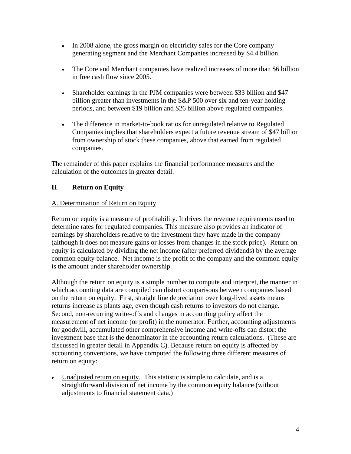- In 2008 alone, the gross margin on electricity sales for the Core company generating segment and the Merchant Companies increased by \$4.4 billion.
- The Core and Merchant companies have realized increases of more than \$6 billion in free cash flow since 2005.
- Shareholder earnings in the PJM companies were between \$33 billion and \$47 billion greater than investments in the S&P 500 over six and ten-year holding periods, and between \$19 billion and \$26 billion above regulated companies.
- The difference in market-to-book ratios for unregulated relative to Regulated Companies implies that shareholders expect a future revenue stream of \$47 billion from ownership of stock these companies, above that earned from regulated companies.

The remainder of this paper explains the financial performance measures and the calculation of the outcomes in greater detail.

# **II Return on Equity**

#### A. Determination of Return on Equity

Return on equity is a measure of profitability. It drives the revenue requirements used to determine rates for regulated companies. This measure also provides an indicator of earnings by shareholders relative to the investment they have made in the company (although it does not measure gains or losses from changes in the stock price). Return on equity is calculated by dividing the net income (after preferred dividends) by the average common equity balance. Net income is the profit of the company and the common equity is the amount under shareholder ownership.

Although the return on equity is a simple number to compute and interpret, the manner in which accounting data are compiled can distort comparisons between companies based on the return on equity. First, straight line depreciation over long-lived assets means returns increase as plants age, even though cash returns to investors do not change. Second, non-recurring write-offs and changes in accounting policy affect the measurement of net income (or profit) in the numerator. Further, accounting adjustments for goodwill, accumulated other comprehensive income and write-offs can distort the investment base that is the denominator in the accounting return calculations. (These are discussed in greater detail in Appendix C). Because return on equity is affected by accounting conventions, we have computed the following three different measures of return on equity:

• Unadjusted return on equity. This statistic is simple to calculate, and is a straightforward division of net income by the common equity balance (without adjustments to financial statement data.)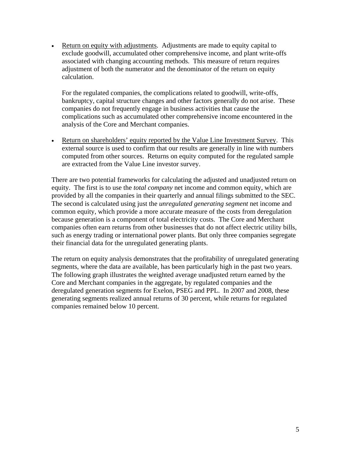• Return on equity with adjustments. Adjustments are made to equity capital to exclude goodwill, accumulated other comprehensive income, and plant write-offs associated with changing accounting methods. This measure of return requires adjustment of both the numerator and the denominator of the return on equity calculation.

For the regulated companies, the complications related to goodwill, write-offs, bankruptcy, capital structure changes and other factors generally do not arise. These companies do not frequently engage in business activities that cause the complications such as accumulated other comprehensive income encountered in the analysis of the Core and Merchant companies.

• Return on shareholders' equity reported by the Value Line Investment Survey. This external source is used to confirm that our results are generally in line with numbers computed from other sources. Returns on equity computed for the regulated sample are extracted from the Value Line investor survey.

There are two potential frameworks for calculating the adjusted and unadjusted return on equity. The first is to use the *total company* net income and common equity, which are provided by all the companies in their quarterly and annual filings submitted to the SEC. The second is calculated using just the *unregulated generating segment* net income and common equity, which provide a more accurate measure of the costs from deregulation because generation is a component of total electricity costs. The Core and Merchant companies often earn returns from other businesses that do not affect electric utility bills, such as energy trading or international power plants. But only three companies segregate their financial data for the unregulated generating plants.

The return on equity analysis demonstrates that the profitability of unregulated generating segments, where the data are available, has been particularly high in the past two years. The following graph illustrates the weighted average unadjusted return earned by the Core and Merchant companies in the aggregate, by regulated companies and the deregulated generation segments for Exelon, PSEG and PPL. In 2007 and 2008, these generating segments realized annual returns of 30 percent, while returns for regulated companies remained below 10 percent.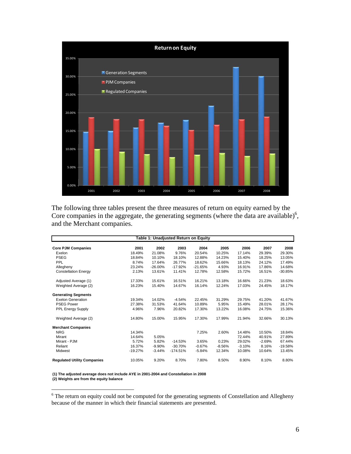

The following three tables present the three measures of return on equity earned by the Core companies in the aggregate, the generating segments (where the data are available)<sup>6</sup>, and the Merchant companies.

| Table 1: Unadjusted Return on Equity |           |           |            |           |          |          |          |           |  |  |
|--------------------------------------|-----------|-----------|------------|-----------|----------|----------|----------|-----------|--|--|
| <b>Core PJM Companies</b>            | 2001      | 2002      | 2003       | 2004      | 2005     | 2006     | 2007     | 2008      |  |  |
| Exelon                               | 18.49%    | 21.08%    | 9.76%      | 20.54%    | 10.25%   | 17.14%   | 29.39%   | 29.30%    |  |  |
| <b>PSEG</b>                          | 18.84%    | 10.10%    | 18.10%     | 12.88%    | 14.23%   | 15.40%   | 18.25%   | 13.05%    |  |  |
| PPL                                  | 8.74%     | 17.64%    | 26.77%     | 18.62%    | 15.66%   | 18.13%   | 24.12%   | 17.49%    |  |  |
| Allegheny                            | 23.24%    | $-26.00%$ | $-17.92%$  | $-21.65%$ | 4.93%    | 16.91%   | 17.86%   | 14.68%    |  |  |
| <b>Constellation Energy</b>          | 2.13%     | 13.61%    | 11.41%     | 12.78%    | 12.58%   | 15.72%   | 16.51%   | $-30.85%$ |  |  |
| Adjusted Average (1)                 | 17.33%    | 15.61%    | 16.51%     | 16.21%    | 13.18%   | 16.66%   | 21.23%   | 18.63%    |  |  |
| Weighted Average (2)                 | 16.23%    | 15.40%    | 14.67%     | 16.14%    | 12.24%   | 17.03%   | 24.45%   | 18.17%    |  |  |
| <b>Generating Segments</b>           |           |           |            |           |          |          |          |           |  |  |
| <b>Exelon Generation</b>             | 19.34%    | 14.02%    | $-4.54%$   | 22.45%    | 31.29%   | 29.75%   | 41.20%   | 41.67%    |  |  |
| <b>PSEG Power</b>                    | 27.38%    | 31.53%    | 41.64%     | 10.89%    | 5.95%    | 15.49%   | 28.01%   | 28.17%    |  |  |
| PPL Energy Supply                    | 4.96%     | 7.96%     | 20.82%     | 17.30%    | 13.22%   | 16.08%   | 24.75%   | 15.36%    |  |  |
| Weighted Average (2)                 | 14.80%    | 15.00%    | 15.95%     | 17.30%    | 17.99%   | 21.94%   | 32.66%   | 30.13%    |  |  |
| <b>Merchant Companies</b>            |           |           |            |           |          |          |          |           |  |  |
| <b>NRG</b>                           | 14.34%    |           |            | 7.25%     | 2.60%    | 14.48%   | 10.50%   | 18.84%    |  |  |
| Mirant                               | 14.64%    | 5.05%     |            |           |          | 72.44%   | 40.91%   | 27.89%    |  |  |
| Mirant - PJM                         | 5.72%     | 5.82%     | $-14.53%$  | 3.65%     | 0.23%    | 29.02%   | $-2.69%$ | 67.44%    |  |  |
| Reliant                              | 16.37%    | $-9.90%$  | $-30.70%$  | $-0.67%$  | $-8.56%$ | $-3.10%$ | 8.16%    | $-19.58%$ |  |  |
| Midwest                              | $-19.27%$ | $-3.44%$  | $-174.51%$ | $-5.84%$  | 12.34%   | 10.08%   | 10.64%   | 13.45%    |  |  |
| <b>Regulated Utility Companies</b>   | 10.05%    | 9.20%     | 8.70%      | 7.80%     | 8.50%    | 8.90%    | 8.10%    | 8.80%     |  |  |

**(1) The adjusted average does not include AYE in 2001-2004 and Constellation in 2008 (2) Weights are from the equity balance**

The return on equity could not be computed for the generating segments of Constellation and Allegheny because of the manner in which their financial statements are presented.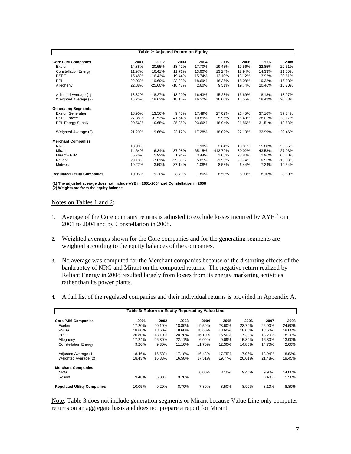|                                    |           |           | Table 2: Adjusted Return on Equity |           |            |          |        |           |
|------------------------------------|-----------|-----------|------------------------------------|-----------|------------|----------|--------|-----------|
| <b>Core PJM Companies</b>          | 2001      | 2002      | 2003                               | 2004      | 2005       | 2006     | 2007   | 2008      |
| Exelon                             | 14.88%    | 20.55%    | 18.42%                             | 17.70%    | 19.43%     | 19.56%   | 22.85% | 22.51%    |
| <b>Constellation Energy</b>        | 11.97%    | 16.41%    | 11.71%                             | 13.60%    | 13.24%     | 12.94%   | 14.33% | 11.00%    |
| <b>PSEG</b>                        | 15.48%    | 16.43%    | 19.44%                             | 15.74%    | 12.10%     | 13.12%   | 13.92% | 20.61%    |
| PPL                                | 22.03%    | 19.69%    | 23.23%                             | 18.69%    | 16.36%     | 18.08%   | 19.32% | 16.03%    |
| Allegheny                          | 22.88%    | $-25.60%$ | $-18.48%$                          | 2.60%     | 9.51%      | 19.74%   | 20.46% | 16.70%    |
| Adjusted Average (1)               | 18.82%    | 18.27%    | 18.20%                             | 16.43%    | 15.28%     | 16.69%   | 18.18% | 18.97%    |
| Weighted Average (2)               | 15.25%    | 18.63%    | 18.10%                             | 16.52%    | 16.00%     | 16.55%   | 18.42% | 20.83%    |
| <b>Generating Segments</b>         |           |           |                                    |           |            |          |        |           |
| <b>Exelon Generation</b>           | 18.90%    | 13.56%    | 9.45%                              | 17.49%    | 27.02%     | 26.45%   | 37.16% | 37.84%    |
| <b>PSEG Power</b>                  | 27.38%    | 31.53%    | 41.64%                             | 10.89%    | 5.95%      | 15.49%   | 28.01% | 28.17%    |
| <b>PPL Energy Supply</b>           | 20.56%    | 19.65%    | 25.35%                             | 23.66%    | 18.94%     | 21.86%   | 31.51% | 18.63%    |
| Weighted Average (2)               | 21.29%    | 19.68%    | 23.12%                             | 17.28%    | 18.02%     | 22.10%   | 32.99% | 29.46%    |
| <b>Merchant Companies</b>          |           |           |                                    |           |            |          |        |           |
| <b>NRG</b>                         | 13.90%    |           |                                    | 7.98%     | 2.84%      | 19.81%   | 15.80% | 26.65%    |
| Mirant                             | 14.64%    | 6.34%     | $-87.98%$                          | $-65.15%$ | $-413.79%$ | 80.02%   | 43.58% | 27.03%    |
| Mirant - PJM                       | 5.76%     | 5.92%     | 1.94%                              | 3.44%     | 1.06%      | 28.80%   | 2.96%  | 65.30%    |
| Reliant                            | 29.18%    | $-7.81%$  | $-29.30%$                          | 5.81%     | $-1.95%$   | $-6.74%$ | 6.51%  | $-16.63%$ |
| Midwest                            | $-19.27%$ | $-3.50%$  | 37.14%                             | 1.08%     | 8.53%      | 6.44%    | 7.24%  | 10.34%    |
| <b>Regulated Utility Companies</b> | 10.05%    | 9.20%     | 8.70%                              | 7.80%     | 8.50%      | 8.90%    | 8.10%  | 8.80%     |

**(1) The adjusted average does not include AYE in 2001-2004 and Constellation in 2008 (2) Weights are from the equity balance**

#### Notes on Tables 1 and 2:

- 1. Average of the Core company returns is adjusted to exclude losses incurred by AYE from 2001 to 2004 and by Constellation in 2008.
- 2. Weighted averages shown for the Core companies and for the generating segments are weighted according to the equity balances of the companies.
- 3. No average was computed for the Merchant companies because of the distorting effects of the bankruptcy of NRG and Mirant on the computed returns. The negative return realized by Reliant Energy in 2008 resulted largely from losses from its energy marketing activities rather than its power plants.
- 4. A full list of the regulated companies and their individual returns is provided in Appendix A.

| Table 3: Return on Equity Reported by Value Line |        |           |           |        |        |        |        |        |  |  |  |
|--------------------------------------------------|--------|-----------|-----------|--------|--------|--------|--------|--------|--|--|--|
| <b>Core PJM Companies</b>                        | 2001   | 2002      | 2003      | 2004   | 2005   | 2006   | 2007   | 2008   |  |  |  |
| Exelon                                           | 17.20% | 20.10%    | 18.80%    | 19.50% | 23.60% | 23.70% | 26.90% | 24.60% |  |  |  |
| <b>PSEG</b>                                      | 18.60% | 18.60%    | 18.60%    | 18.60% | 18.60% | 18.60% | 18.60% | 18.60% |  |  |  |
| PPL                                              | 20.80% | 18.10%    | 20.20%    | 16.10% | 16.50% | 17.30% | 18.20% | 18.20% |  |  |  |
| Allegheny                                        | 17.24% | $-26.30%$ | $-22.11%$ | 6.09%  | 9.09%  | 15.39% | 16.30% | 13.90% |  |  |  |
| <b>Constellation Energy</b>                      | 9.20%  | 9.30%     | 11.10%    | 11.70% | 12.30% | 14.80% | 14.70% | 2.60%  |  |  |  |
| Adjusted Average (1)                             | 18.46% | 16.53%    | 17.18%    | 16.48% | 17.75% | 17.96% | 18.94% | 18.83% |  |  |  |
| Weighted Average (2)                             | 18.43% | 16.33%    | 16.58%    | 17.51% | 19.77% | 20.01% | 21.48% | 19.45% |  |  |  |
| <b>Merchant Companies</b>                        |        |           |           |        |        |        |        |        |  |  |  |
| <b>NRG</b>                                       |        |           |           | 6.00%  | 3.10%  | 9.40%  | 9.90%  | 14.00% |  |  |  |
| Reliant                                          | 9.40%  | 6.30%     | 3.70%     |        |        |        | 3.40%  | 1.50%  |  |  |  |
| <b>Regulated Utility Companies</b>               | 10.05% | 9.20%     | 8.70%     | 7.80%  | 8.50%  | 8.90%  | 8.10%  | 8.80%  |  |  |  |

Note: Table 3 does not include generation segments or Mirant because Value Line only computes returns on an aggregate basis and does not prepare a report for Mirant.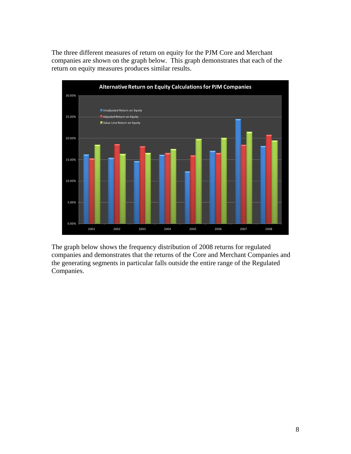The three different measures of return on equity for the PJM Core and Merchant companies are shown on the graph below. This graph demonstrates that each of the return on equity measures produces similar results.



The graph below shows the frequency distribution of 2008 returns for regulated companies and demonstrates that the returns of the Core and Merchant Companies and the generating segments in particular falls outside the entire range of the Regulated Companies.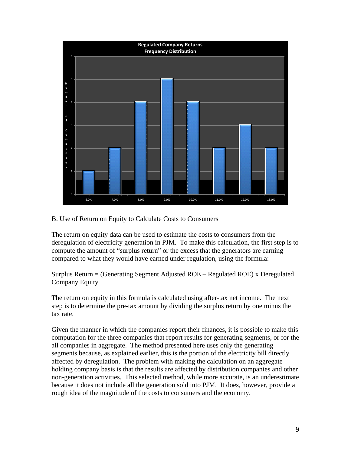

### B. Use of Return on Equity to Calculate Costs to Consumers

The return on equity data can be used to estimate the costs to consumers from the deregulation of electricity generation in PJM. To make this calculation, the first step is to compute the amount of "surplus return" or the excess that the generators are earning compared to what they would have earned under regulation, using the formula:

Surplus Return = (Generating Segment Adjusted ROE – Regulated ROE) x Deregulated Company Equity

The return on equity in this formula is calculated using after-tax net income. The next step is to determine the pre-tax amount by dividing the surplus return by one minus the tax rate.

Given the manner in which the companies report their finances, it is possible to make this computation for the three companies that report results for generating segments, or for the all companies in aggregate. The method presented here uses only the generating segments because, as explained earlier, this is the portion of the electricity bill directly affected by deregulation. The problem with making the calculation on an aggregate holding company basis is that the results are affected by distribution companies and other non-generation activities. This selected method, while more accurate, is an underestimate because it does not include all the generation sold into PJM. It does, however, provide a rough idea of the magnitude of the costs to consumers and the economy.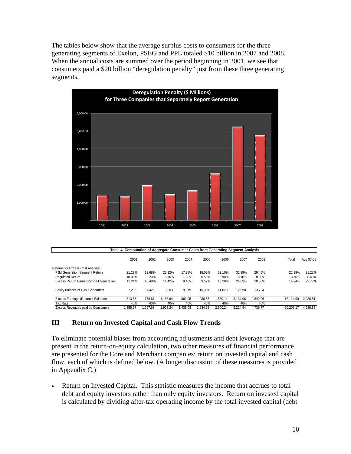The tables below show that the average surplus costs to consumers for the three generating segments of Exelon, PSEG and PPL totaled \$10 billion in 2007 and 2008. When the annual costs are summed over the period beginning in 2001, we see that consumers paid a \$20 billion "deregulation penalty" just from these three generating segments.



| Table 4: Computation of Aggregate Consumer Costs from Generating Segment Analysis |          |         |          |         |         |          |          |          |           |           |  |
|-----------------------------------------------------------------------------------|----------|---------|----------|---------|---------|----------|----------|----------|-----------|-----------|--|
|                                                                                   | 2001     | 2002    | 2003     | 2004    | 2005    | 2006     | 2007     | 2008     | Total     | Avg 07-08 |  |
| <b>Returns for Excess Cost Analysis</b>                                           |          |         |          |         |         |          |          |          |           |           |  |
| PJM Generation Segment Return                                                     | 21.29%   | 19.68%  | 23.12%   | 17.28%  | 18.02%  | 22.10%   | 32.99%   | 29.46%   | 22.99%    | 31.22%    |  |
| <b>Requlated Return</b>                                                           | 10.05%   | 9.20%   | 8.70%    | 7.80%   | 8.50%   | 8.90%    | 8.10%    | 8.80%    | 8.76%     | 8.45%     |  |
| Excess Return Earned by PJM Generation                                            | 11.24%   | 10.48%  | 14.42%   | 9.48%   | 9.52%   | 13.20%   | 24.89%   | 20.66%   | 14.24%    | 22.77%    |  |
| Equity Balance of PJM Generation                                                  | 7.236    | 7.426   | 8.003    | 9.079   | 10.301  | 11.823   | 12.598   | 13.754   |           |           |  |
| Excess Earnings (Return x Balance)                                                | 813.58   | 778.61  | 1.153.94 | 861.05  | 980.55  | .560.14  | 3.134.96 | 2.842.06 | 12.124.90 | 2.988.51  |  |
| Tax Rate                                                                          | 40%      | 40%     | 40%      | 40%     | 40%     | 40%      | 40%      | 40%      |           |           |  |
| Excess Revenues paid by Consumers                                                 | 1.355.97 | .297.68 | .923.24  | .435.08 | .634.25 | 2.600.24 | 5.224.94 | 4.736.77 | 20.208.17 | 4.980.85  |  |

### **III Return on Invested Capital and Cash Flow Trends**

To eliminate potential biases from accounting adjustments and debt leverage that are present in the return-on-equity calculation, two other measures of financial performance are presented for the Core and Merchant companies: return on invested capital and cash flow, each of which is defined below. (A longer discussion of these measures is provided in Appendix C.)

• Return on Invested Capital. This statistic measures the income that accrues to total debt and equity investors rather than only equity investors. Return on invested capital is calculated by dividing after-tax operating income by the total invested capital (debt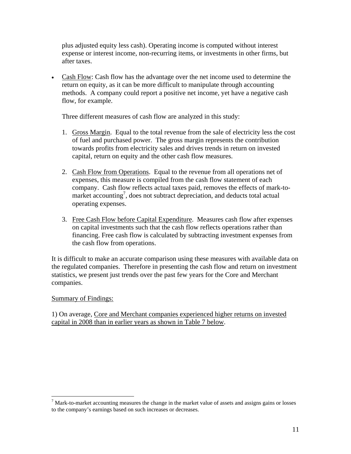plus adjusted equity less cash). Operating income is computed without interest expense or interest income, non-recurring items, or investments in other firms, but after taxes.

• Cash Flow: Cash flow has the advantage over the net income used to determine the return on equity, as it can be more difficult to manipulate through accounting methods. A company could report a positive net income, yet have a negative cash flow, for example.

Three different measures of cash flow are analyzed in this study:

- 1. Gross Margin. Equal to the total revenue from the sale of electricity less the cost of fuel and purchased power. The gross margin represents the contribution towards profits from electricity sales and drives trends in return on invested capital, return on equity and the other cash flow measures.
- 2. Cash Flow from Operations. Equal to the revenue from all operations net of expenses, this measure is compiled from the cash flow statement of each company. Cash flow reflects actual taxes paid, removes the effects of mark-tomarket accounting<sup>7</sup>, does not subtract depreciation, and deducts total actual operating expenses.
- 3. Free Cash Flow before Capital Expenditure. Measures cash flow after expenses on capital investments such that the cash flow reflects operations rather than financing. Free cash flow is calculated by subtracting investment expenses from the cash flow from operations.

It is difficult to make an accurate comparison using these measures with available data on the regulated companies. Therefore in presenting the cash flow and return on investment statistics, we present just trends over the past few years for the Core and Merchant companies.

Summary of Findings:

 $\overline{a}$ 

1) On average, Core and Merchant companies experienced higher returns on invested capital in 2008 than in earlier years as shown in Table 7 below.

 $<sup>7</sup>$  Mark-to-market accounting measures the change in the market value of assets and assigns gains or losses</sup> to the company's earnings based on such increases or decreases.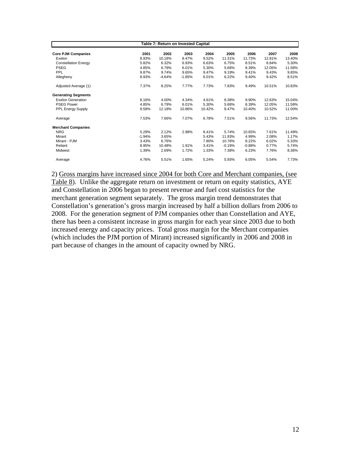|                             |          | <b>Table 7: Return on Invested Capital</b> |          |        |          |          |        |        |
|-----------------------------|----------|--------------------------------------------|----------|--------|----------|----------|--------|--------|
| <b>Core PJM Companies</b>   | 2001     | 2002                                       | 2003     | 2004   | 2005     | 2006     | 2007   | 2008   |
| Exelon                      | 8.93%    | 10.18%                                     | 8.47%    | 9.52%  | 11.31%   | 11.73%   | 12.81% | 13.40% |
| <b>Constellation Energy</b> | 5.82%    | 6.32%                                      | 6.93%    | 6.63%  | 6.75%    | 8.51%    | 8.84%  | 5.30%  |
| <b>PSEG</b>                 | 4.85%    | 6.79%                                      | 6.01%    | 5.30%  | 5.68%    | 8.39%    | 12.05% | 11.58% |
| PPL                         | 9.87%    | 9.74%                                      | 9.65%    | 9.47%  | 9.19%    | 9.41%    | 9.43%  | 9.85%  |
| Allegheny                   | 8.93%    | $-4.64%$                                   | $-1.85%$ | 6.01%  | 6.22%    | 9.40%    | 9.42%  | 8.51%  |
| Adjusted Average (1)        | 7.37%    | 8.25%                                      | 7.77%    | 7.73%  | 7.83%    | 9.49%    | 10.51% | 10.83% |
| <b>Generating Segments</b>  |          |                                            |          |        |          |          |        |        |
| <b>Exelon Generation</b>    | 8.16%    | 4.00%                                      | 4.34%    | 4.61%  | 8.38%    | 9.90%    | 12.63% | 15.04% |
| <b>PSEG Power</b>           | 4.85%    | 6.79%                                      | 6.01%    | 5.30%  | 5.68%    | 8.39%    | 12.05% | 11.58% |
| <b>PPL Energy Supply</b>    | 9.58%    | 12.18%                                     | 10.86%   | 10.42% | 8.47%    | 10.40%   | 10.52% | 11.00% |
| Average                     | 7.53%    | 7.66%                                      | 7.07%    | 6.78%  | 7.51%    | 9.56%    | 11.73% | 12.54% |
| <b>Merchant Companies</b>   |          |                                            |          |        |          |          |        |        |
| <b>NRG</b>                  | 5.29%    | 2.12%                                      | 2.98%    | 8.41%  | 5.74%    | 10.65%   | 7.61%  | 11.49% |
| Mirant                      | $-1.94%$ | 3.65%                                      |          | 5.43%  | 11.93%   | 4.99%    | 2.08%  | 1.17%  |
| Mirant - PJM                | 3.43%    | 6.76%                                      |          | 7.80%  | 10.78%   | 8.22%    | 6.02%  | 5.33%  |
| Reliant                     | 8.95%    | 10.48%                                     | 1.91%    | 3.41%  | $-0.19%$ | $-0.88%$ | 0.77%  | 5.74%  |
| Midwest                     | 1.39%    | 2.69%                                      | 1.72%    | 1.33%  | 7.38%    | 6.23%    | 7.76%  | 8.36%  |
| Average                     | 4.76%    | 5.51%                                      | 1.65%    | 5.24%  | 5.93%    | 6.05%    | 5.54%  | 7.73%  |

2) Gross margins have increased since 2004 for both Core and Merchant companies, (see Table 8). Unlike the aggregate return on investment or return on equity statistics, AYE and Constellation in 2006 began to present revenue and fuel cost statistics for the merchant generation segment separately. The gross margin trend demonstrates that Constellation's generation's gross margin increased by half a billion dollars from 2006 to 2008. For the generation segment of PJM companies other than Constellation and AYE, there has been a consistent increase in gross margin for each year since 2003 due to both increased energy and capacity prices. Total gross margin for the Merchant companies (which includes the PJM portion of Mirant) increased significantly in 2006 and 2008 in part because of changes in the amount of capacity owned by NRG.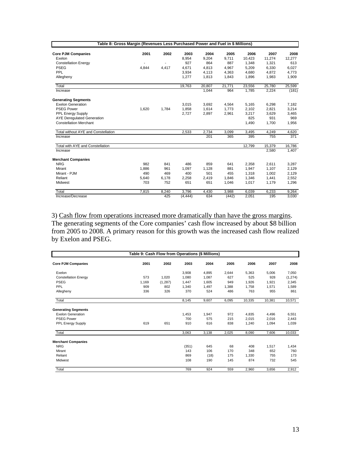| Table 8: Gross Margin (Revenues Less Purchased Power and Fuel in \$ Millions) |       |                |          |        |        |        |        |        |
|-------------------------------------------------------------------------------|-------|----------------|----------|--------|--------|--------|--------|--------|
| <b>Core PJM Companies</b>                                                     | 2001  | 2002           | 2003     | 2004   | 2005   | 2006   | 2007   | 2008   |
| Exelon                                                                        |       |                | 8,954    | 9,204  | 9.711  | 10,423 | 11,274 | 12,277 |
| <b>Constellation Energy</b>                                                   |       | $\blacksquare$ | 927      | 864    | 887    | 1.348  | 1,321  | 613    |
| <b>PSEG</b>                                                                   | 4,844 | 4,417          | 4,671    | 4,813  | 4,967  | 5,209  | 6,330  | 6,027  |
| PPL                                                                           |       |                | 3,934    | 4,113  | 4,363  | 4,680  | 4,872  | 4,773  |
| Allegheny                                                                     |       |                | 1.277    | 1,813  | 1.843  | 1,896  | 1,983  | 1,909  |
| Total                                                                         |       |                | 19,763   | 20,807 | 21,771 | 23,556 | 25,780 | 25,599 |
| Increase                                                                      |       |                |          | 1,044  | 964    | 1,785  | 2,224  | (181)  |
| <b>Generating Segments</b>                                                    |       |                |          |        |        |        |        |        |
| <b>Exelon Generation</b>                                                      |       |                | 3,015    | 3,692  | 4,564  | 5,165  | 6,298  | 7,182  |
| <b>PSEG Power</b>                                                             | 1.620 | 1.784          | 1,858    | 1,614  | 1.773  | 2,102  | 2,821  | 3,214  |
| <b>PPL Energy Supply</b>                                                      |       |                | 2,727    | 2,897  | 2,961  | 3,217  | 3,629  | 3,465  |
| <b>AYE Deregulated Generation</b>                                             |       |                |          |        |        | 825    | 931    | 969    |
| <b>Constellation Merchant</b>                                                 |       |                |          |        |        | 1,490  | 1,700  | 1,956  |
| Total without AYE and Constellation                                           |       |                | 2,533    | 2,734  | 3,099  | 3,495  | 4,249  | 4,620  |
| Increase                                                                      |       |                |          | 201    | 365    | 395    | 755    | 371    |
| Total with AYE and Constellation                                              |       |                |          |        |        | 12,799 | 15,379 | 16,786 |
| Increase                                                                      |       |                |          |        |        |        | 2,580  | 1,407  |
| <b>Merchant Companies</b>                                                     |       |                |          |        |        |        |        |        |
| <b>NRG</b>                                                                    | 982   | 841            | 486      | 859    | 641    | 2,358  | 2,611  | 3,287  |
| Mirant                                                                        | 1,886 | 961            | 1,097    | 1,128  | 881    | 1,947  | 1,107  | 2,129  |
| Mirant - PJM                                                                  | 490   | 469            | 400      | 501    | 455    | 1,318  | 1,002  | 2,129  |
| Reliant                                                                       | 5,640 | 6,178          | 2,258    | 2,419  | 1,846  | 1,346  | 1,441  | 2,552  |
| Midwest                                                                       | 703   | 752            | 651      | 651    | 1,046  | 1,017  | 1,179  | 1,296  |
| Total                                                                         | 7,815 | 8,240          | 3,796    | 4,430  | 3,988  | 6,039  | 6,233  | 9,264  |
| Increase/Decrease                                                             |       | 425            | (4, 444) | 634    | (442)  | 2,051  | 195    | 3,030  |

3) Cash flow from operations increased more dramatically than have the gross margins. The generating segments of the Core companies' cash flow increased by about \$8 billion from 2005 to 2008. A primary reason for this growth was the increased cash flow realized by Exelon and PSEG.

| Table 9: Cash Flow from Operations (\$ Millions) |       |          |       |       |       |        |        |          |  |  |
|--------------------------------------------------|-------|----------|-------|-------|-------|--------|--------|----------|--|--|
| <b>Core PJM Companies</b>                        | 2001  | 2002     | 2003  | 2004  | 2005  | 2006   | 2007   | 2008     |  |  |
| Exelon                                           |       |          | 3,908 | 4,895 | 2,644 | 5,363  | 5,006  | 7,050    |  |  |
| <b>Constellation Energy</b>                      | 573   | 1,020    | 1,080 | 1,087 | 627   | 525    | 928    | (1, 274) |  |  |
| <b>PSEG</b>                                      | 1,169 | (1, 287) | 1,447 | 1,605 | 949   | 1,926  | 1,921  | 2,345    |  |  |
| PPL                                              | 909   | 802      | 1,340 | 1.497 | 1,388 | 1.758  | 1.571  | 1,589    |  |  |
| Allegheny                                        | 336   | 326      | 370   | 524   | 486   | 763    | 955    | 861      |  |  |
| Total                                            |       |          | 8,145 | 9,607 | 6,095 | 10,335 | 10,381 | 10,571   |  |  |
| <b>Generating Segments</b>                       |       |          |       |       |       |        |        |          |  |  |
| <b>Exelon Generation</b>                         |       |          | 1,453 | 1,947 | 972   | 4,835  | 4.496  | 6,551    |  |  |
| <b>PSEG Power</b>                                |       |          | 700   | 575   | 215   | 2.015  | 2.016  | 2.443    |  |  |
| <b>PPL Energy Supply</b>                         | 619   | 651      | 910   | 616   | 838   | 1,240  | 1,094  | 1,039    |  |  |
| Total                                            |       |          | 3,063 | 3,138 | 2,025 | 8,090  | 7,606  | 10,033   |  |  |
| <b>Merchant Companies</b>                        |       |          |       |       |       |        |        |          |  |  |
| <b>NRG</b>                                       |       |          | (351) | 645   | 68    | 408    | 1.517  | 1,434    |  |  |
| Mirant                                           |       |          | 143   | 106   | 170   | 348    | 652    | 760      |  |  |
| Reliant                                          |       |          | 869   | (18)  | 175   | 1,330  | 755    | 173      |  |  |
| Midwest                                          |       |          | 108   | 190   | 145   | 874    | 732    | 545      |  |  |
| Total                                            |       |          | 769   | 924   | 559   | 2,960  | 3,656  | 2,912    |  |  |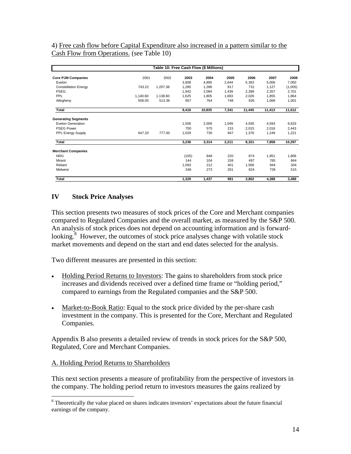4) Free cash flow before Capital Expenditure also increased in a pattern similar to the Cash Flow from Operations. (see Table 10)

|                             |          | Table 10: Free Cash Flow (\$ Millions) |       |        |       |        |        |         |  |  |  |
|-----------------------------|----------|----------------------------------------|-------|--------|-------|--------|--------|---------|--|--|--|
| <b>Core PJM Companies</b>   | 2001     | 2002                                   | 2003  | 2004   | 2005  | 2006   | 2007   | 2008    |  |  |  |
| Exelon                      |          |                                        | 3,908 | 4,895  | 2,644 | 5,363  | 5,006  | 7,050   |  |  |  |
| <b>Constellation Energy</b> | 743.22   | 1,207.38                               | 1,285 | 1,288  | 817   | 731    | 1.127  | (1,005) |  |  |  |
| <b>PSEG</b>                 |          |                                        | 1,942 | 2,084  | 1,439 | 2.399  | 2.357  | 2,701   |  |  |  |
| PPL                         | 1,140.60 | 1,138.60                               | 1,625 | 1,805  | 1,693 | 2.026  | 1,855  | 1,864   |  |  |  |
| Allegheny                   | 506.05   | 513.36                                 | 657   | 764    | 748   | 926    | 1,068  | 1,001   |  |  |  |
| Total                       |          |                                        | 9,416 | 10,835 | 7,341 | 11,445 | 11,413 | 11,612  |  |  |  |
| <b>Generating Segments</b>  |          |                                        |       |        |       |        |        |         |  |  |  |
| <b>Exelon Generation</b>    |          |                                        | 1,506 | 2,009  | 1,049 | 4,930  | 4,593  | 6,633   |  |  |  |
| <b>PSEG Power</b>           |          |                                        | 700   | 575    | 215   | 2.015  | 2.016  | 2.443   |  |  |  |
| PPL Energy Supply           | 647.20   | 777.00                                 | 1,029 | 730    | 947   | 1,376  | 1,249  | 1,221   |  |  |  |
| Total                       |          |                                        | 3,236 | 3,314  | 2,211 | 8,321  | 7,858  | 10,297  |  |  |  |
| <b>Merchant Companies</b>   |          |                                        |       |        |       |        |        |         |  |  |  |
| <b>NRG</b>                  |          |                                        | (155) | 848    | 220   | 874    | 1,951  | 1,806   |  |  |  |
| Mirant                      |          |                                        | 144   | 104    | 159   | 497    | 765    | 864     |  |  |  |
| Reliant                     |          |                                        | 1,093 | 212    | 401   | 1,566  | 944    | 304     |  |  |  |
| Midwest                     |          |                                        | 248   | 273    | 201   | 924    | 728    | 515     |  |  |  |
| Total                       |          |                                        | 1,329 | 1,437  | 981   | 3,862  | 4,388  | 3,489   |  |  |  |

# **IV Stock Price Analyses**

This section presents two measures of stock prices of the Core and Merchant companies compared to Regulated Companies and the overall market, as measured by the S&P 500. An analysis of stock prices does not depend on accounting information and is forwardlooking.<sup>8</sup> However, the outcomes of stock price analyses change with volatile stock market movements and depend on the start and end dates selected for the analysis.

Two different measures are presented in this section:

- Holding Period Returns to Investors: The gains to shareholders from stock price increases and dividends received over a defined time frame or "holding period," compared to earnings from the Regulated companies and the S&P 500.
- Market-to-Book Ratio: Equal to the stock price divided by the per-share cash investment in the company. This is presented for the Core, Merchant and Regulated Companies.

Appendix B also presents a detailed review of trends in stock prices for the S&P 500, Regulated, Core and Merchant Companies.

### A. Holding Period Returns to Shareholders

 $\overline{a}$ 

This next section presents a measure of profitability from the perspective of investors in the company. The holding period return to investors measures the gains realized by

<sup>&</sup>lt;sup>8</sup> Theoretically the value placed on shares indicates investors' expectations about the future financial earnings of the company.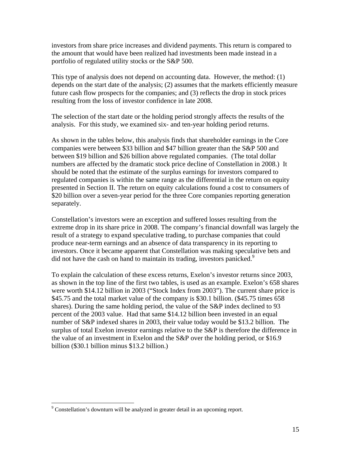investors from share price increases and dividend payments. This return is compared to the amount that would have been realized had investments been made instead in a portfolio of regulated utility stocks or the S&P 500.

This type of analysis does not depend on accounting data. However, the method: (1) depends on the start date of the analysis; (2) assumes that the markets efficiently measure future cash flow prospects for the companies; and (3) reflects the drop in stock prices resulting from the loss of investor confidence in late 2008.

The selection of the start date or the holding period strongly affects the results of the analysis. For this study, we examined six- and ten-year holding period returns.

As shown in the tables below, this analysis finds that shareholder earnings in the Core companies were between \$33 billion and \$47 billion greater than the S&P 500 and between \$19 billion and \$26 billion above regulated companies. (The total dollar numbers are affected by the dramatic stock price decline of Constellation in 2008.) It should be noted that the estimate of the surplus earnings for investors compared to regulated companies is within the same range as the differential in the return on equity presented in Section II. The return on equity calculations found a cost to consumers of \$20 billion over a seven-year period for the three Core companies reporting generation separately.

Constellation's investors were an exception and suffered losses resulting from the extreme drop in its share price in 2008. The company's financial downfall was largely the result of a strategy to expand speculative trading, to purchase companies that could produce near-term earnings and an absence of data transparency in its reporting to investors. Once it became apparent that Constellation was making speculative bets and did not have the cash on hand to maintain its trading, investors panicked.<sup>9</sup>

To explain the calculation of these excess returns, Exelon's investor returns since 2003, as shown in the top line of the first two tables, is used as an example. Exelon's 658 shares were worth \$14.12 billion in 2003 ("Stock Index from 2003"). The current share price is \$45.75 and the total market value of the company is \$30.1 billion. (\$45.75 times 658) shares). During the same holding period, the value of the S&P index declined to 93 percent of the 2003 value. Had that same \$14.12 billion been invested in an equal number of S&P indexed shares in 2003, their value today would be \$13.2 billion. The surplus of total Exelon investor earnings relative to the S&P is therefore the difference in the value of an investment in Exelon and the S&P over the holding period, or \$16.9 billion (\$30.1 billion minus \$13.2 billion.)

 $9^9$  Constellation's downturn will be analyzed in greater detail in an upcoming report.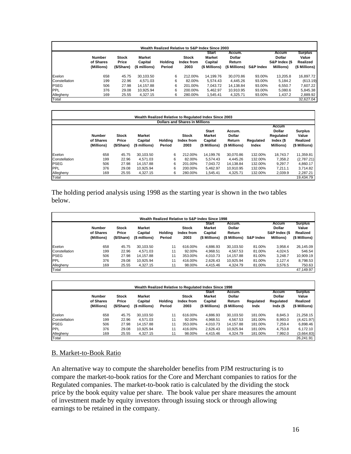|               | Wealth Realized Relative to S&P Index Since 2003 |                                     |                                           |                   |                                    |                                                           |                                                    |                      |                                                              |                                                      |  |  |  |
|---------------|--------------------------------------------------|-------------------------------------|-------------------------------------------|-------------------|------------------------------------|-----------------------------------------------------------|----------------------------------------------------|----------------------|--------------------------------------------------------------|------------------------------------------------------|--|--|--|
|               | <b>Number</b><br>of Shares<br>(Millions)         | <b>Stock</b><br>Price<br>(\$/Share) | <b>Market</b><br>Capital<br>(\$ millions) | Holding<br>Period | <b>Stock</b><br>Index from<br>2003 | <b>Start</b><br><b>Market</b><br>Capital<br>(\$ Millions) | Accum.<br><b>Dollar</b><br>Return<br>(\$ Millions) | <b>S&amp;P Index</b> | Accum<br><b>Dollar</b><br>S&P Index (\$<br><b>Millions</b> ) | <b>Surplus</b><br>Value<br>Realized<br>(\$ Millions) |  |  |  |
| Exelon        | 658                                              | 45.75                               | 30.103.50                                 | 6                 | 212.00%                            | 14.199.76                                                 | 30.070.86                                          | 93.00%               | 13,205.8                                                     | 16,897.72                                            |  |  |  |
| Constellation | 199                                              | 22.96                               | 4.571.03                                  | 6                 | 82.00%                             | 5.574.43                                                  | 4.445.26                                           | 93.00%               | 5,184.2                                                      | (613.19)                                             |  |  |  |
| PSEG          | 506                                              | 27.98                               | 14.157.88                                 | 6                 | 201.00%                            | 7,043.72                                                  | 14,138.84                                          | 93.00%               | 6,550.7                                                      | 7,607.22                                             |  |  |  |
| <b>PPL</b>    | 376                                              | 29.08                               | 10.925.94                                 | 6                 | 200.00%                            | 5,462.97                                                  | 10.910.95                                          | 93.00%               | 5,080.6                                                      | 5,845.38                                             |  |  |  |
| Allegheny     | 169                                              | 25.55                               | 4,327.15                                  |                   | 280.00%<br>6                       | 1,545.41                                                  | 4,325.71                                           | 93.00%               | 1,437.2                                                      | 2,889.92                                             |  |  |  |
| Total         |                                                  |                                     |                                           |                   |                                    |                                                           |                                                    |                      |                                                              | 32.627.04                                            |  |  |  |

|               |                                          |                                     |                                           |                   |                                       | Wealth Realized Relative to Regulated Index Since 2003    |                                                    |                    |                                                              |                                                      |
|---------------|------------------------------------------|-------------------------------------|-------------------------------------------|-------------------|---------------------------------------|-----------------------------------------------------------|----------------------------------------------------|--------------------|--------------------------------------------------------------|------------------------------------------------------|
|               |                                          |                                     |                                           |                   | <b>Dollars and Shares in Millions</b> |                                                           |                                                    |                    |                                                              |                                                      |
|               |                                          |                                     |                                           |                   |                                       |                                                           |                                                    |                    | <b>Accum</b>                                                 |                                                      |
|               | <b>Number</b><br>of Shares<br>(Millions) | <b>Stock</b><br>Price<br>(\$/Share) | <b>Market</b><br>Capital<br>(\$ millions) | Holding<br>Period | <b>Stock</b><br>Index from<br>2003    | <b>Start</b><br><b>Market</b><br>Capital<br>(\$ Millions) | Accum.<br><b>Dollar</b><br>Return<br>(\$ Millions) | Regulated<br>Index | <b>Dollar</b><br>Regulated<br>Index (\$<br><b>Millions</b> ) | <b>Surplus</b><br>Value<br>Realized<br>(\$ Millions) |
| Exelon        | 658                                      | 45.75                               | 30.103.50                                 | 6                 | 212.00%                               | 14.199.76                                                 | 30.070.86                                          | 132.00%            | 18.743.7                                                     | 11,359.81                                            |
| Constellation | 199                                      | 22.96                               | 4.571.03                                  | 6                 | 82.00%                                | 5.574.43                                                  | 4.445.26                                           | 132.00%            | 7.358.2                                                      | (2,787.21)                                           |
| <b>PSEG</b>   | 506                                      | 27.98                               | 14.157.88                                 | 6                 | 201.00%                               | 7.043.72                                                  | 14.138.84                                          | 132.00%            | 9.297.7                                                      | 4.860.17                                             |
| PPL           | 376                                      | 29.08                               | 10.925.94                                 | 6                 | 200.00%                               | 5.462.97                                                  | 10.910.95                                          | 132.00%            | 7.211.1                                                      | 3.714.82                                             |
| Allegheny     | 169                                      | 25.55                               | 4.327.15                                  | 6                 | 280.00%                               | 1,545.41                                                  | 4,325.71                                           | 132.00%            | 2,039.9                                                      | 2,287.21                                             |
| Total         |                                          |                                     |                                           |                   |                                       |                                                           |                                                    |                    |                                                              | 19.434.79                                            |

The holding period analysis using 1998 as the starting year is shown in the two tables below.

|               |                                          |                                     |                                           |                          |                                    | Wealth Realized Relative to S&P Index Since 1998          |                                                    |                      |                                                              |                                                      |
|---------------|------------------------------------------|-------------------------------------|-------------------------------------------|--------------------------|------------------------------------|-----------------------------------------------------------|----------------------------------------------------|----------------------|--------------------------------------------------------------|------------------------------------------------------|
|               | <b>Number</b><br>of Shares<br>(Millions) | <b>Stock</b><br>Price<br>(\$/Share) | <b>Market</b><br>Capital<br>(\$ millions) | <b>Holding</b><br>Period | <b>Stock</b><br>Index from<br>2003 | <b>Start</b><br><b>Market</b><br>Capital<br>(\$ Millions) | Accum.<br><b>Dollar</b><br>Return<br>(\$ Millions) | <b>S&amp;P Index</b> | Accum<br><b>Dollar</b><br>S&P Index (\$<br><b>Millions</b> ) | <b>Surplus</b><br>Value<br>Realized<br>(\$ Millions) |
| Exelon        | 658                                      | 45.75                               | 30.103.50                                 | 11                       | 616.00%                            | 4,886.93                                                  | 30.103.50                                          | 81.00%               | 3.958.4                                                      | 26,145.09                                            |
| Constellation | 199                                      | 22.96                               | 4.571.03                                  | 11                       | 92.00%                             | 4,968.51                                                  | 4.567.53                                           | 81.00%               | 4,024.5                                                      | 546.54                                               |
| <b>PSEG</b>   | 506                                      | 27.98                               | 14.157.88                                 | 11                       | 353.00%                            | 4.010.73                                                  | 14.157.88                                          | 81.00%               | 3.248.7                                                      | 10,909.19                                            |
| <b>IPPL</b>   | 376                                      | 29.08                               | 10.925.94                                 | 11                       | 416.00%                            | 2,626.43                                                  | 10.925.94                                          | 81.00%               | 2.127.4                                                      | 8,798.53                                             |
| Allegheny     | 169                                      | 25.55                               | 4,327.15                                  | 11                       | 98.00%                             | 4,415.46                                                  | 4,324.79                                           | 81.00%               | 3,576.5                                                      | 750.63                                               |
| Total         |                                          |                                     |                                           |                          |                                    |                                                           |                                                    |                      |                                                              | 47.149.97                                            |

|               | <b>Number</b><br>of Shares<br>(Millions) | <b>Stock</b><br>Price<br>(\$/Share) | <b>Market</b><br>Capital<br>(\$ millions) | Holdina<br>Period | <b>Stock</b><br>Index from<br>2003 | <b>Start</b><br><b>Market</b><br>Capital<br>(\$ Millions) | Accum.<br><b>Dollar</b><br>Return<br>(\$ Millions) | Regulated<br>Indx | Accum<br><b>Dollar</b><br>Regulated<br>Indx (\$ | <b>Surplus</b><br>Value<br>Realized<br>(\$ Millions) |
|---------------|------------------------------------------|-------------------------------------|-------------------------------------------|-------------------|------------------------------------|-----------------------------------------------------------|----------------------------------------------------|-------------------|-------------------------------------------------|------------------------------------------------------|
| Exelon        | 658                                      | 45.75                               | 30.103.50                                 | 11                | 616.00%                            | 4,886.93                                                  | 30,103.50                                          | 181.00%           | 8,845.3                                         | 21,258.15                                            |
| Constellation | 199                                      | 22.96                               | 4.571.03                                  | 11                | 92.00%                             | 4.968.51                                                  | 4.567.53                                           | 181.00%           | 8,993.0                                         | (4,421.97)                                           |
| <b>PSEG</b>   | 506                                      | 27.98                               | 14.157.88                                 | 11                | 353.00%                            | 4.010.73                                                  | 14.157.88                                          | 181.00%           | 7,259.4                                         | 6,898.46                                             |
| <b>PPL</b>    | 376                                      | 29.08                               | 10,925.94                                 | 11                | 416.00%                            | 2,626.43                                                  | 10,925.94                                          | 181.00%           | 4,753.8                                         | 6,172.10                                             |
| Allegheny     | 169                                      | 25.55                               | 4,327.15                                  | 11                | 98.00%                             | 4,415.46                                                  | 4,324.79                                           | 181.00%           | 7,992.0                                         | (3,664.83)                                           |

### B. Market-to-Book Ratio

An alternative way to compute the shareholder benefits from PJM restructuring is to compare the market-to-book ratios for the Core and Merchant companies to ratios for the Regulated companies. The market-to-book ratio is calculated by the dividing the stock price by the book equity value per share. The book value per share measures the amount of investment made by equity investors through issuing stock or through allowing earnings to be retained in the company.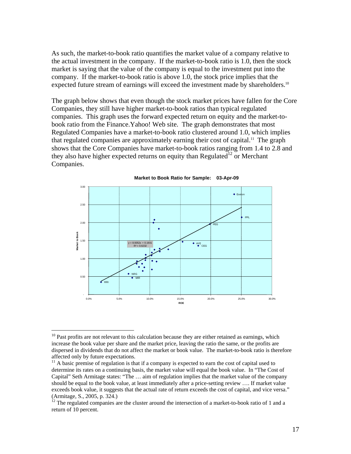As such, the market-to-book ratio quantifies the market value of a company relative to the actual investment in the company. If the market-to-book ratio is 1.0, then the stock market is saying that the value of the company is equal to the investment put into the company. If the market-to-book ratio is above 1.0, the stock price implies that the expected future stream of earnings will exceed the investment made by shareholders.<sup>10</sup>

The graph below shows that even though the stock market prices have fallen for the Core Companies, they still have higher market-to-book ratios than typical regulated companies. This graph uses the forward expected return on equity and the market-tobook ratio from the Finance.Yahoo! Web site. The graph demonstrates that most Regulated Companies have a market-to-book ratio clustered around 1.0, which implies that regulated companies are approximately earning their cost of capital.<sup>11</sup> The graph shows that the Core Companies have market-to-book ratios ranging from 1.4 to 2.8 and they also have higher expected returns on equity than Regulated<sup>12</sup> or Merchant Companies.



**Market to Book Ratio for Sample: 03-Apr-09**

1

 $10$  Past profits are not relevant to this calculation because they are either retained as earnings, which increase the book value per share and the market price, leaving the ratio the same, or the profits are dispersed in dividends that do not affect the market or book value. The market-to-book ratio is therefore affected only by future expectations.

 $11$  A basic premise of regulation is that if a company is expected to earn the cost of capital used to determine its rates on a continuing basis, the market value will equal the book value. In "The Cost of Capital" Seth Armitage states: "The … aim of regulation implies that the market value of the company should be equal to the book value, at least immediately after a price-setting review …. If market value exceeds book value, it suggests that the actual rate of return exceeds the cost of capital, and vice versa." (Armitage, S., 2005, p. 324.)

 $12$  The regulated companies are the cluster around the intersection of a market-to-book ratio of 1 and a return of 10 percent.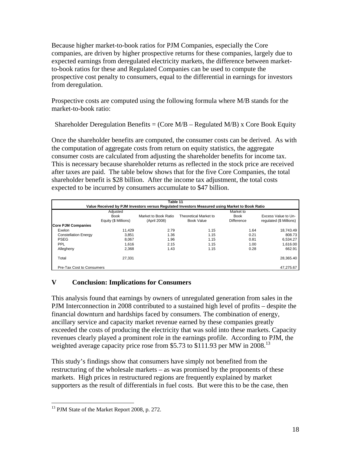Because higher market-to-book ratios for PJM Companies, especially the Core companies, are driven by higher prospective returns for these companies, largely due to expected earnings from deregulated electricity markets, the difference between marketto-book ratios for these and Regulated Companies can be used to compute the prospective cost penalty to consumers, equal to the differential in earnings for investors from deregulation.

Prospective costs are computed using the following formula where M/B stands for the market-to-book ratio:

Shareholder Deregulation Benefits = (Core  $M/B$  – Regulated M/B) x Core Book Equity

Once the shareholder benefits are computed, the consumer costs can be derived. As with the computation of aggregate costs from return on equity statistics, the aggregate consumer costs are calculated from adjusting the shareholder benefits for income tax. This is necessary because shareholder returns as reflected in the stock price are received after taxes are paid. The table below shows that for the five Core Companies, the total shareholder benefit is \$28 billion. After the income tax adjustment, the total costs expected to be incurred by consumers accumulate to \$47 billion.

| Table 11<br>Value Received by PJM Investors versus Regulated Investors Measured using Market to Book Ratio |                      |                      |                       |                   |                         |
|------------------------------------------------------------------------------------------------------------|----------------------|----------------------|-----------------------|-------------------|-------------------------|
|                                                                                                            |                      |                      |                       |                   |                         |
|                                                                                                            | <b>Book</b>          | Market to Book Ratio | Theoretical Market to | <b>Book</b>       | Excess Value to Un-     |
|                                                                                                            | Equity (\$ Millions) | (April 2008)         | Book Value            | <b>Difference</b> | requlated (\$ Millions) |
| <b>Core PJM Companies</b>                                                                                  |                      |                      |                       |                   |                         |
| Exelon                                                                                                     | 11.429               | 2.79                 | 1.15                  | 1.64              | 18.743.49               |
| <b>Constellation Energy</b>                                                                                | 3.851                | 1.36                 | 1.15                  | 0.21              | 808.73                  |
| <b>PSEG</b>                                                                                                | 8.067                | 1.96                 | 1.15                  | 0.81              | 6,534.27                |
| PPL                                                                                                        | 1.616                | 2.15                 | 1.15                  | 1.00              | 1.616.00                |
| Allegheny                                                                                                  | 2.368                | 1.43                 | 1.15                  | 0.28              | 662.91                  |
| Total                                                                                                      | 27.331               |                      |                       |                   | 28,365.40               |
| Pre-Tax Cost to Consumers                                                                                  |                      |                      |                       |                   | 47.275.67               |

# **V Conclusion: Implications for Consumers**

This analysis found that earnings by owners of unregulated generation from sales in the PJM Interconnection in 2008 contributed to a sustained high level of profits – despite the financial downturn and hardships faced by consumers. The combination of energy, ancillary service and capacity market revenue earned by these companies greatly exceeded the costs of producing the electricity that was sold into these markets. Capacity revenues clearly played a prominent role in the earnings profile. According to PJM, the weighted average capacity price rose from \$5.73 to \$111.93 per MW in 2008.<sup>13</sup>

This study's findings show that consumers have simply not benefited from the restructuring of the wholesale markets – as was promised by the proponents of these markets. High prices in restructured regions are frequently explained by market supporters as the result of differentials in fuel costs. But were this to be the case, then

<sup>&</sup>lt;sup>13</sup> PJM State of the Market Report 2008, p. 272.